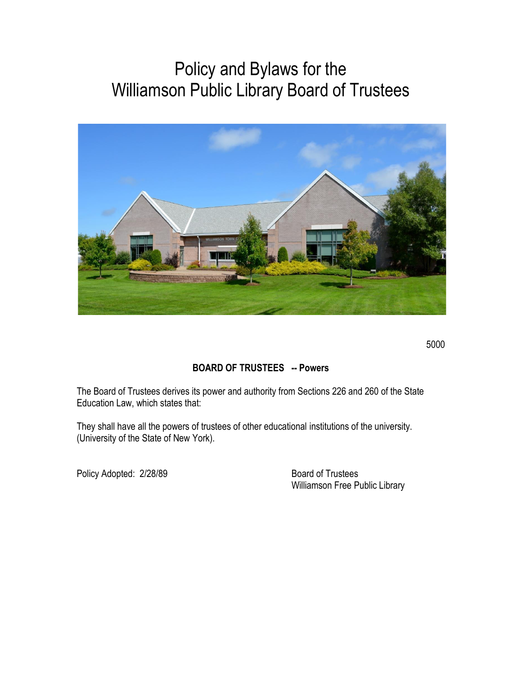# Policy and Bylaws for the Williamson Public Library Board of Trustees



5000

# **BOARD OF TRUSTEES -- Powers**

The Board of Trustees derives its power and authority from Sections 226 and 260 of the State Education Law, which states that:

They shall have all the powers of trustees of other educational institutions of the university. (University of the State of New York).

Policy Adopted: 2/28/89 Board of Trustees

Williamson Free Public Library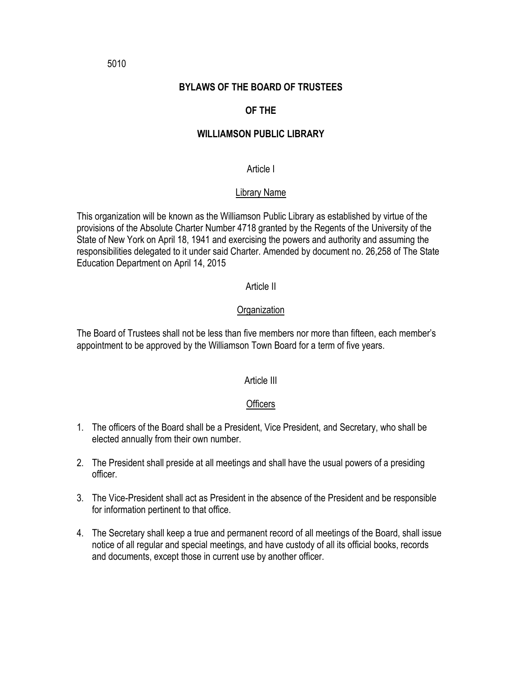#### **BYLAWS OF THE BOARD OF TRUSTEES**

# **OF THE**

#### **WILLIAMSON PUBLIC LIBRARY**

#### Article I

# Library Name

This organization will be known as the Williamson Public Library as established by virtue of the provisions of the Absolute Charter Number 4718 granted by the Regents of the University of the State of New York on April 18, 1941 and exercising the powers and authority and assuming the responsibilities delegated to it under said Charter. Amended by document no. 26,258 of The State Education Department on April 14, 2015

#### Article II

#### **Organization**

The Board of Trustees shall not be less than five members nor more than fifteen, each member's appointment to be approved by the Williamson Town Board for a term of five years.

#### Article III

#### **Officers**

- 1. The officers of the Board shall be a President, Vice President, and Secretary, who shall be elected annually from their own number.
- 2. The President shall preside at all meetings and shall have the usual powers of a presiding officer.
- 3. The Vice-President shall act as President in the absence of the President and be responsible for information pertinent to that office.
- 4. The Secretary shall keep a true and permanent record of all meetings of the Board, shall issue notice of all regular and special meetings, and have custody of all its official books, records and documents, except those in current use by another officer.

5010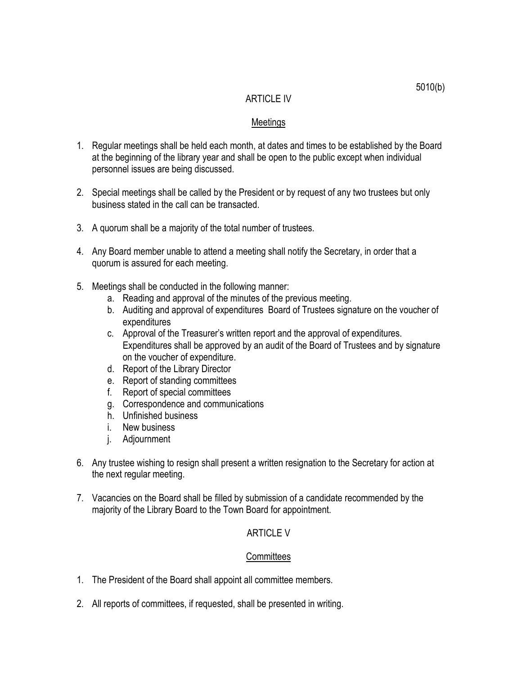#### ARTICLE IV

#### Meetings

- 1. Regular meetings shall be held each month, at dates and times to be established by the Board at the beginning of the library year and shall be open to the public except when individual personnel issues are being discussed.
- 2. Special meetings shall be called by the President or by request of any two trustees but only business stated in the call can be transacted.
- 3. A quorum shall be a majority of the total number of trustees.
- 4. Any Board member unable to attend a meeting shall notify the Secretary, in order that a quorum is assured for each meeting.
- 5. Meetings shall be conducted in the following manner:
	- a. Reading and approval of the minutes of the previous meeting.
	- b. Auditing and approval of expenditures Board of Trustees signature on the voucher of expenditures
	- c. Approval of the Treasurer's written report and the approval of expenditures. Expenditures shall be approved by an audit of the Board of Trustees and by signature on the voucher of expenditure.
	- d. Report of the Library Director
	- e. Report of standing committees
	- f. Report of special committees
	- g. Correspondence and communications
	- h. Unfinished business
	- i. New business
	- j. Adjournment
- 6. Any trustee wishing to resign shall present a written resignation to the Secretary for action at the next regular meeting.
- 7. Vacancies on the Board shall be filled by submission of a candidate recommended by the majority of the Library Board to the Town Board for appointment.

#### ARTICLE V

#### **Committees**

- 1. The President of the Board shall appoint all committee members.
- 2. All reports of committees, if requested, shall be presented in writing.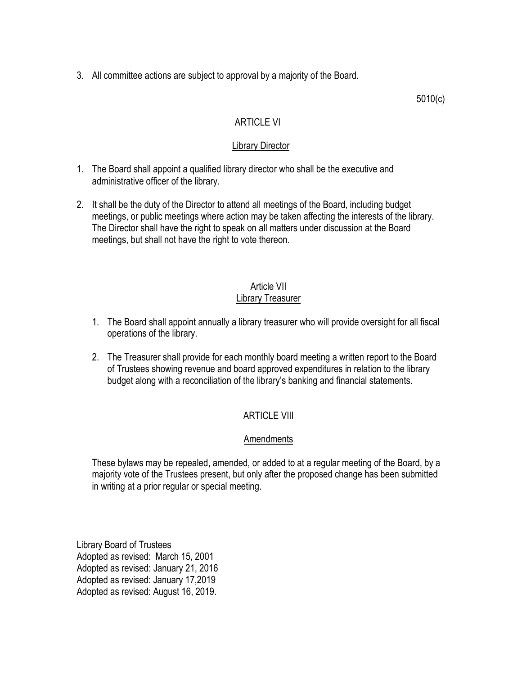3. All committee actions are subject to approval by a majority of the Board.

5010(c)

### ARTICLE VI

#### Library Director

- 1. The Board shall appoint a qualified library director who shall be the executive and administrative officer of the library.
- 2. It shall be the duty of the Director to attend all meetings of the Board, including budget meetings, or public meetings where action may be taken affecting the interests of the library. The Director shall have the right to speak on all matters under discussion at the Board meetings, but shall not have the right to vote thereon.

#### Article VII Library Treasurer

- 1. The Board shall appoint annually a library treasurer who will provide oversight for all fiscal operations of the library.
- 2. The Treasurer shall provide for each monthly board meeting a written report to the Board of Trustees showing revenue and board approved expenditures in relation to the library budget along with a reconciliation of the library's banking and financial statements.

# ARTICLE VIII

#### Amendments

These bylaws may be repealed, amended, or added to at a regular meeting of the Board, by a majority vote of the Trustees present, but only after the proposed change has been submitted in writing at a prior regular or special meeting.

Library Board of Trustees Adopted as revised: March 15, 2001 Adopted as revised: January 21, 2016 Adopted as revised: January 17,2019 Adopted as revised: August 16, 2019.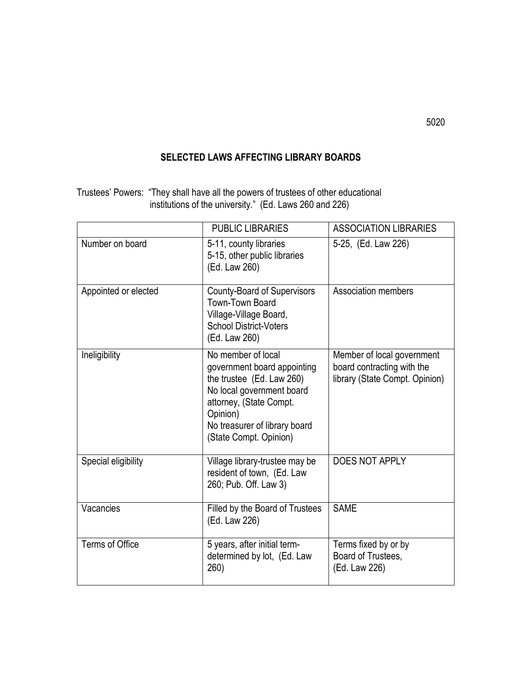# **SELECTED LAWS AFFECTING LIBRARY BOARDS**

Trustees' Powers: "They shall have all the powers of trustees of other educational institutions of the university." (Ed. Laws 260 and 226)

|                      | <b>PUBLIC LIBRARIES</b>                                                                                                                                                                                       | <b>ASSOCIATION LIBRARIES</b>                                                               |  |
|----------------------|---------------------------------------------------------------------------------------------------------------------------------------------------------------------------------------------------------------|--------------------------------------------------------------------------------------------|--|
| Number on board      | 5-11, county libraries<br>5-15, other public libraries<br>(Ed. Law 260)                                                                                                                                       | 5-25, (Ed. Law 226)                                                                        |  |
| Appointed or elected | <b>County-Board of Supervisors</b><br>Town-Town Board<br>Village-Village Board,<br><b>School District-Voters</b><br>(Ed. Law 260)                                                                             | Association members                                                                        |  |
| Ineligibility        | No member of local<br>government board appointing<br>the trustee (Ed. Law 260)<br>No local government board<br>attorney, (State Compt.<br>Opinion)<br>No treasurer of library board<br>(State Compt. Opinion) | Member of local government<br>board contracting with the<br>library (State Compt. Opinion) |  |
| Special eligibility  | Village library-trustee may be<br>resident of town, (Ed. Law<br>260; Pub. Off. Law 3)                                                                                                                         | DOES NOT APPLY                                                                             |  |
| Vacancies            | Filled by the Board of Trustees<br>(Ed. Law 226)                                                                                                                                                              | <b>SAME</b>                                                                                |  |
| Terms of Office      | 5 years, after initial term-<br>determined by lot, (Ed. Law<br>260)                                                                                                                                           | Terms fixed by or by<br>Board of Trustees,<br>(Ed. Law 226)                                |  |

5020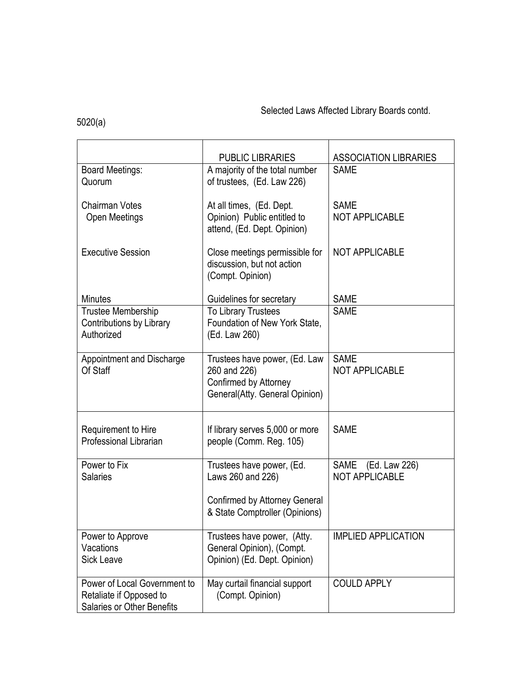# Selected Laws Affected Library Boards contd.

# 5020(a)

|                                                                                       | <b>PUBLIC LIBRARIES</b>                                                                                           | <b>ASSOCIATION LIBRARIES</b>                          |  |
|---------------------------------------------------------------------------------------|-------------------------------------------------------------------------------------------------------------------|-------------------------------------------------------|--|
| <b>Board Meetings:</b><br>Quorum                                                      | A majority of the total number<br>of trustees, (Ed. Law 226)                                                      | <b>SAME</b>                                           |  |
| <b>Chairman Votes</b><br>Open Meetings                                                | At all times, (Ed. Dept.<br>Opinion) Public entitled to<br>attend, (Ed. Dept. Opinion)                            | <b>SAME</b><br><b>NOT APPLICABLE</b>                  |  |
| <b>Executive Session</b>                                                              | Close meetings permissible for<br>discussion, but not action<br>(Compt. Opinion)                                  | <b>NOT APPLICABLE</b>                                 |  |
| <b>Minutes</b>                                                                        | Guidelines for secretary                                                                                          | <b>SAME</b>                                           |  |
| Trustee Membership<br><b>Contributions by Library</b><br>Authorized                   | To Library Trustees<br>Foundation of New York State,<br>(Ed. Law 260)                                             | <b>SAME</b>                                           |  |
| <b>Appointment and Discharge</b><br>Of Staff                                          | Trustees have power, (Ed. Law<br>260 and 226)<br>Confirmed by Attorney<br>General(Atty. General Opinion)          | <b>SAME</b><br><b>NOT APPLICABLE</b>                  |  |
| Requirement to Hire<br><b>Professional Librarian</b>                                  | If library serves 5,000 or more<br>people (Comm. Reg. 105)                                                        | <b>SAME</b>                                           |  |
| Power to Fix<br><b>Salaries</b>                                                       | Trustees have power, (Ed.<br>Laws 260 and 226)<br>Confirmed by Attorney General<br>& State Comptroller (Opinions) | (Ed. Law 226)<br><b>SAME</b><br><b>NOT APPLICABLE</b> |  |
| Power to Approve<br>Vacations<br><b>Sick Leave</b>                                    | Trustees have power, (Atty.<br>General Opinion), (Compt.<br>Opinion) (Ed. Dept. Opinion)                          | <b>IMPLIED APPLICATION</b>                            |  |
| Power of Local Government to<br>Retaliate if Opposed to<br>Salaries or Other Benefits | May curtail financial support<br>(Compt. Opinion)                                                                 | <b>COULD APPLY</b>                                    |  |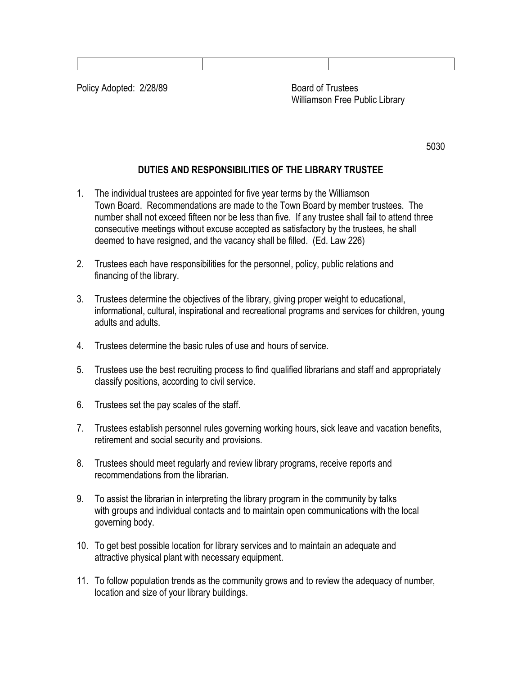Policy Adopted: 2/28/89 Board of Trustees

Williamson Free Public Library

5030

# **DUTIES AND RESPONSIBILITIES OF THE LIBRARY TRUSTEE**

- 1. The individual trustees are appointed for five year terms by the Williamson Town Board. Recommendations are made to the Town Board by member trustees. The number shall not exceed fifteen nor be less than five. If any trustee shall fail to attend three consecutive meetings without excuse accepted as satisfactory by the trustees, he shall deemed to have resigned, and the vacancy shall be filled. (Ed. Law 226)
- 2. Trustees each have responsibilities for the personnel, policy, public relations and financing of the library.
- 3. Trustees determine the objectives of the library, giving proper weight to educational, informational, cultural, inspirational and recreational programs and services for children, young adults and adults.
- 4. Trustees determine the basic rules of use and hours of service.
- 5. Trustees use the best recruiting process to find qualified librarians and staff and appropriately classify positions, according to civil service.
- 6. Trustees set the pay scales of the staff.
- 7. Trustees establish personnel rules governing working hours, sick leave and vacation benefits, retirement and social security and provisions.
- 8. Trustees should meet regularly and review library programs, receive reports and recommendations from the librarian.
- 9. To assist the librarian in interpreting the library program in the community by talks with groups and individual contacts and to maintain open communications with the local governing body.
- 10. To get best possible location for library services and to maintain an adequate and attractive physical plant with necessary equipment.
- 11. To follow population trends as the community grows and to review the adequacy of number, location and size of your library buildings.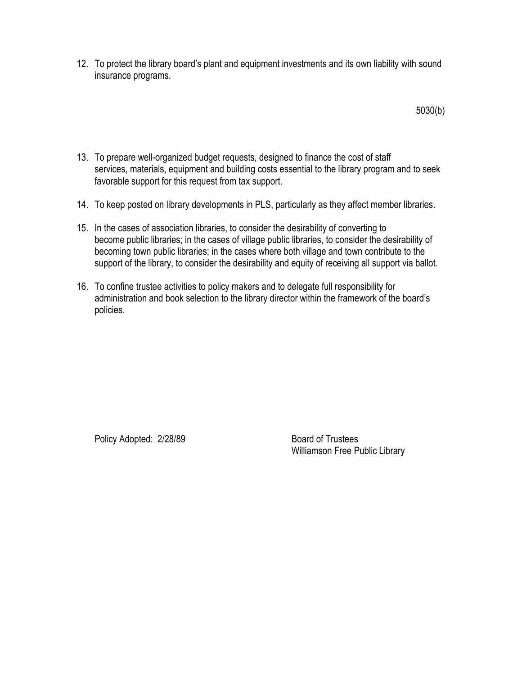12. To protect the library board's plant and equipment investments and its own liability with sound insurance programs.

5030(b)

- 13. To prepare well-organized budget requests, designed to finance the cost of staff services, materials, equipment and building costs essential to the library program and to seek favorable support for this request from tax support.
- 14. To keep posted on library developments in PLS, particularly as they affect member libraries.
- 15. In the cases of association libraries, to consider the desirability of converting to become public libraries; in the cases of village public libraries, to consider the desirability of becoming town public libraries; in the cases where both village and town contribute to the support of the library, to consider the desirability and equity of receiving all support via ballot.
- 16. To confine trustee activities to policy makers and to delegate full responsibility for administration and book selection to the library director within the framework of the board's policies.

Policy Adopted: 2/28/89 Board of Trustees

Williamson Free Public Library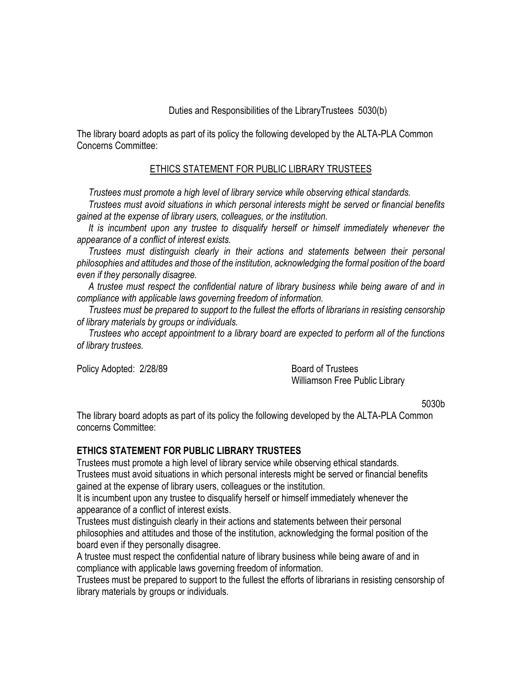#### Duties and Responsibilities of the LibraryTrustees 5030(b)

The library board adopts as part of its policy the following developed by the ALTA-PLA Common Concerns Committee:

#### ETHICS STATEMENT FOR PUBLIC LIBRARY TRUSTEES

 *Trustees must promote a high level of library service while observing ethical standards.*

 *Trustees must avoid situations in which personal interests might be served or financial benefits gained at the expense of library users, colleagues, or the institution.*

 *It is incumbent upon any trustee to disqualify herself or himself immediately whenever the appearance of a conflict of interest exists.*

*Trustees must distinguish clearly in their actions and statements between their personal philosophies and attitudes and those of the institution, acknowledging the formal position of the board even if they personally disagree.*

 *A trustee must respect the confidential nature of library business while being aware of and in compliance with applicable laws governing freedom of information.*

 *Trustees must be prepared to support to the fullest the efforts of librarians in resisting censorship of library materials by groups or individuals.*

 *Trustees who accept appointment to a library board are expected to perform all of the functions of library trustees.*

Policy Adopted: 2/28/89 Board of Trustees

Williamson Free Public Library

5030b

The library board adopts as part of its policy the following developed by the ALTA-PLA Common concerns Committee:

#### **ETHICS STATEMENT FOR PUBLIC LIBRARY TRUSTEES**

Trustees must promote a high level of library service while observing ethical standards. Trustees must avoid situations in which personal interests might be served or financial benefits gained at the expense of library users, colleagues or the institution.

It is incumbent upon any trustee to disqualify herself or himself immediately whenever the appearance of a conflict of interest exists.

Trustees must distinguish clearly in their actions and statements between their personal philosophies and attitudes and those of the institution, acknowledging the formal position of the board even if they personally disagree.

A trustee must respect the confidential nature of library business while being aware of and in compliance with applicable laws governing freedom of information.

Trustees must be prepared to support to the fullest the efforts of librarians in resisting censorship of library materials by groups or individuals.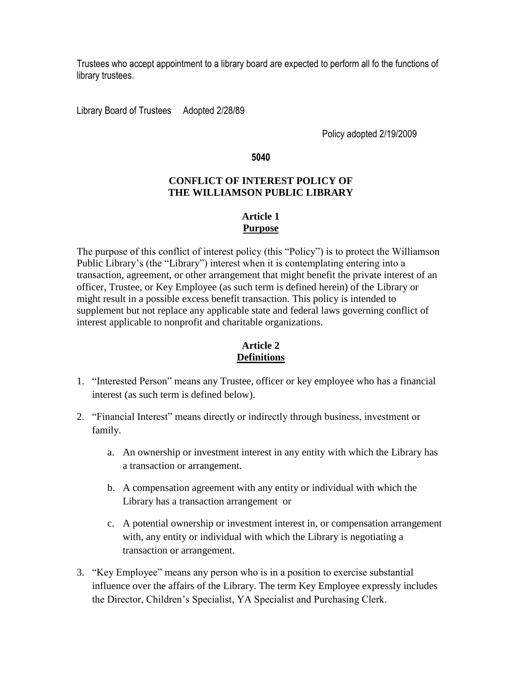Trustees who accept appointment to a library board are expected to perform all fo the functions of library trustees.

Library Board of Trustees Adopted 2/28/89

Policy adopted 2/19/2009

**5040**

#### **CONFLICT OF INTEREST POLICY OF THE WILLIAMSON PUBLIC LIBRARY**

#### **Article 1 Purpose**

The purpose of this conflict of interest policy (this "Policy") is to protect the Williamson Public Library's (the "Library") interest when it is contemplating entering into a transaction, agreement, or other arrangement that might benefit the private interest of an officer, Trustee, or Key Employee (as such term is defined herein) of the Library or might result in a possible excess benefit transaction. This policy is intended to supplement but not replace any applicable state and federal laws governing conflict of interest applicable to nonprofit and charitable organizations.

#### **Article 2 Definitions**

- 1. "Interested Person" means any Trustee, officer or key employee who has a financial interest (as such term is defined below).
- 2. "Financial Interest" means directly or indirectly through business, investment or family.
	- a. An ownership or investment interest in any entity with which the Library has a transaction or arrangement.
	- b. A compensation agreement with any entity or individual with which the Library has a transaction arrangement or
	- c. A potential ownership or investment interest in, or compensation arrangement with, any entity or individual with which the Library is negotiating a transaction or arrangement.
- 3. "Key Employee" means any person who is in a position to exercise substantial influence over the affairs of the Library. The term Key Employee expressly includes the Director, Children's Specialist, YA Specialist and Purchasing Clerk.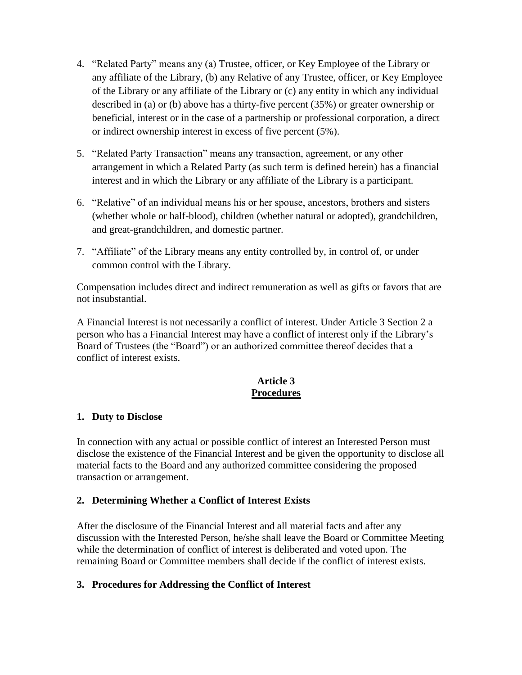- 4. "Related Party" means any (a) Trustee, officer, or Key Employee of the Library or any affiliate of the Library, (b) any Relative of any Trustee, officer, or Key Employee of the Library or any affiliate of the Library or (c) any entity in which any individual described in (a) or (b) above has a thirty-five percent (35%) or greater ownership or beneficial, interest or in the case of a partnership or professional corporation, a direct or indirect ownership interest in excess of five percent (5%).
- 5. "Related Party Transaction" means any transaction, agreement, or any other arrangement in which a Related Party (as such term is defined herein) has a financial interest and in which the Library or any affiliate of the Library is a participant.
- 6. "Relative" of an individual means his or her spouse, ancestors, brothers and sisters (whether whole or half-blood), children (whether natural or adopted), grandchildren, and great-grandchildren, and domestic partner.
- 7. "Affiliate" of the Library means any entity controlled by, in control of, or under common control with the Library.

Compensation includes direct and indirect remuneration as well as gifts or favors that are not insubstantial.

A Financial Interest is not necessarily a conflict of interest. Under Article 3 Section 2 a person who has a Financial Interest may have a conflict of interest only if the Library's Board of Trustees (the "Board") or an authorized committee thereof decides that a conflict of interest exists.

# **Article 3 Procedures**

#### **1. Duty to Disclose**

In connection with any actual or possible conflict of interest an Interested Person must disclose the existence of the Financial Interest and be given the opportunity to disclose all material facts to the Board and any authorized committee considering the proposed transaction or arrangement.

#### **2. Determining Whether a Conflict of Interest Exists**

After the disclosure of the Financial Interest and all material facts and after any discussion with the Interested Person, he/she shall leave the Board or Committee Meeting while the determination of conflict of interest is deliberated and voted upon. The remaining Board or Committee members shall decide if the conflict of interest exists.

#### **3. Procedures for Addressing the Conflict of Interest**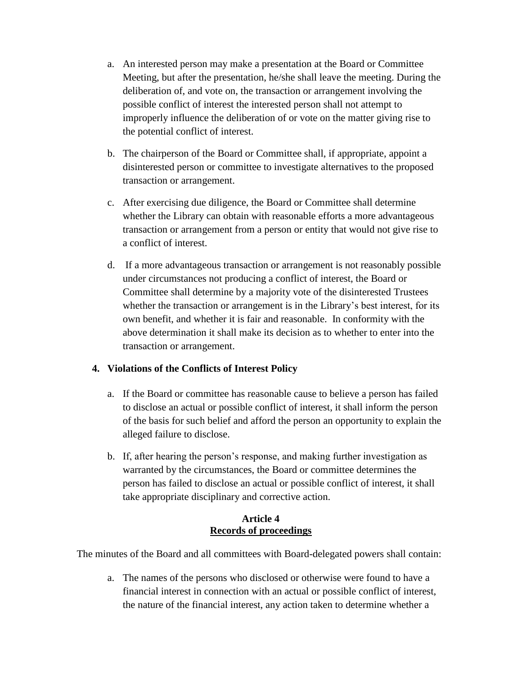- a. An interested person may make a presentation at the Board or Committee Meeting, but after the presentation, he/she shall leave the meeting. During the deliberation of, and vote on, the transaction or arrangement involving the possible conflict of interest the interested person shall not attempt to improperly influence the deliberation of or vote on the matter giving rise to the potential conflict of interest.
- b. The chairperson of the Board or Committee shall, if appropriate, appoint a disinterested person or committee to investigate alternatives to the proposed transaction or arrangement.
- c. After exercising due diligence, the Board or Committee shall determine whether the Library can obtain with reasonable efforts a more advantageous transaction or arrangement from a person or entity that would not give rise to a conflict of interest.
- d. If a more advantageous transaction or arrangement is not reasonably possible under circumstances not producing a conflict of interest, the Board or Committee shall determine by a majority vote of the disinterested Trustees whether the transaction or arrangement is in the Library's best interest, for its own benefit, and whether it is fair and reasonable. In conformity with the above determination it shall make its decision as to whether to enter into the transaction or arrangement.

#### **4. Violations of the Conflicts of Interest Policy**

- a. If the Board or committee has reasonable cause to believe a person has failed to disclose an actual or possible conflict of interest, it shall inform the person of the basis for such belief and afford the person an opportunity to explain the alleged failure to disclose.
- b. If, after hearing the person's response, and making further investigation as warranted by the circumstances, the Board or committee determines the person has failed to disclose an actual or possible conflict of interest, it shall take appropriate disciplinary and corrective action.

#### **Article 4 Records of proceedings**

The minutes of the Board and all committees with Board-delegated powers shall contain:

a. The names of the persons who disclosed or otherwise were found to have a financial interest in connection with an actual or possible conflict of interest, the nature of the financial interest, any action taken to determine whether a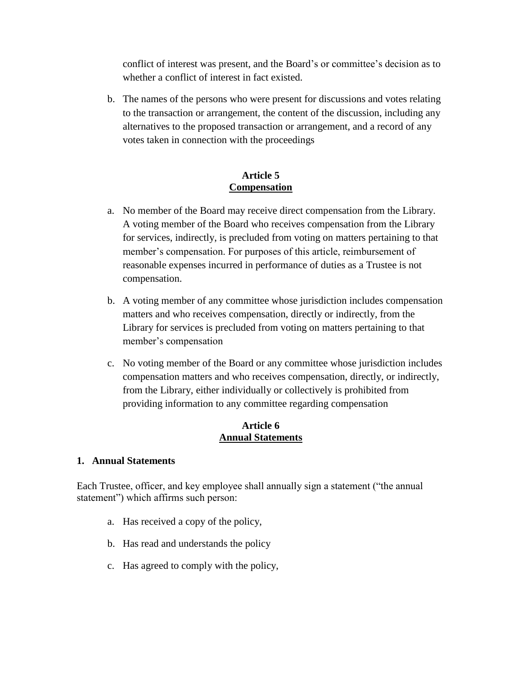conflict of interest was present, and the Board's or committee's decision as to whether a conflict of interest in fact existed.

b. The names of the persons who were present for discussions and votes relating to the transaction or arrangement, the content of the discussion, including any alternatives to the proposed transaction or arrangement, and a record of any votes taken in connection with the proceedings

#### **Article 5 Compensation**

- a. No member of the Board may receive direct compensation from the Library. A voting member of the Board who receives compensation from the Library for services, indirectly, is precluded from voting on matters pertaining to that member's compensation. For purposes of this article, reimbursement of reasonable expenses incurred in performance of duties as a Trustee is not compensation.
- b. A voting member of any committee whose jurisdiction includes compensation matters and who receives compensation, directly or indirectly, from the Library for services is precluded from voting on matters pertaining to that member's compensation
- c. No voting member of the Board or any committee whose jurisdiction includes compensation matters and who receives compensation, directly, or indirectly, from the Library, either individually or collectively is prohibited from providing information to any committee regarding compensation

#### **Article 6 Annual Statements**

#### **1. Annual Statements**

Each Trustee, officer, and key employee shall annually sign a statement ("the annual statement") which affirms such person:

- a. Has received a copy of the policy,
- b. Has read and understands the policy
- c. Has agreed to comply with the policy,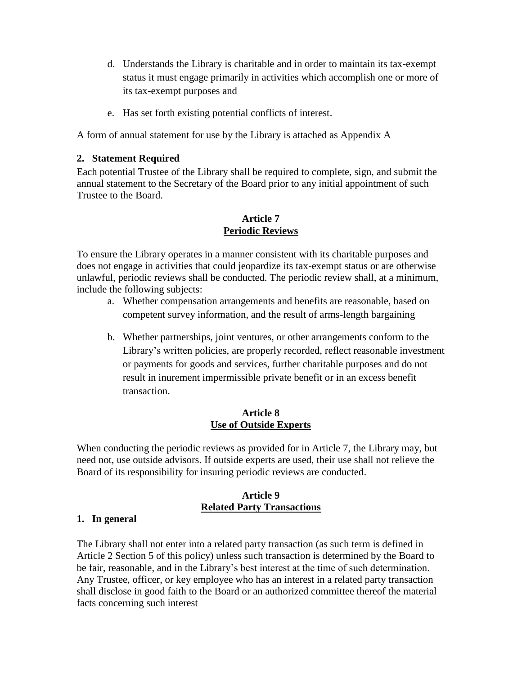- d. Understands the Library is charitable and in order to maintain its tax-exempt status it must engage primarily in activities which accomplish one or more of its tax-exempt purposes and
- e. Has set forth existing potential conflicts of interest.

A form of annual statement for use by the Library is attached as Appendix A

#### **2. Statement Required**

Each potential Trustee of the Library shall be required to complete, sign, and submit the annual statement to the Secretary of the Board prior to any initial appointment of such Trustee to the Board.

#### **Article 7 Periodic Reviews**

To ensure the Library operates in a manner consistent with its charitable purposes and does not engage in activities that could jeopardize its tax-exempt status or are otherwise unlawful, periodic reviews shall be conducted. The periodic review shall, at a minimum, include the following subjects:

- a. Whether compensation arrangements and benefits are reasonable, based on competent survey information, and the result of arms-length bargaining
- b. Whether partnerships, joint ventures, or other arrangements conform to the Library's written policies, are properly recorded, reflect reasonable investment or payments for goods and services, further charitable purposes and do not result in inurement impermissible private benefit or in an excess benefit transaction.

#### **Article 8 Use of Outside Experts**

When conducting the periodic reviews as provided for in Article 7, the Library may, but need not, use outside advisors. If outside experts are used, their use shall not relieve the Board of its responsibility for insuring periodic reviews are conducted.

#### **Article 9 Related Party Transactions**

#### **1. In general**

The Library shall not enter into a related party transaction (as such term is defined in Article 2 Section 5 of this policy) unless such transaction is determined by the Board to be fair, reasonable, and in the Library's best interest at the time of such determination. Any Trustee, officer, or key employee who has an interest in a related party transaction shall disclose in good faith to the Board or an authorized committee thereof the material facts concerning such interest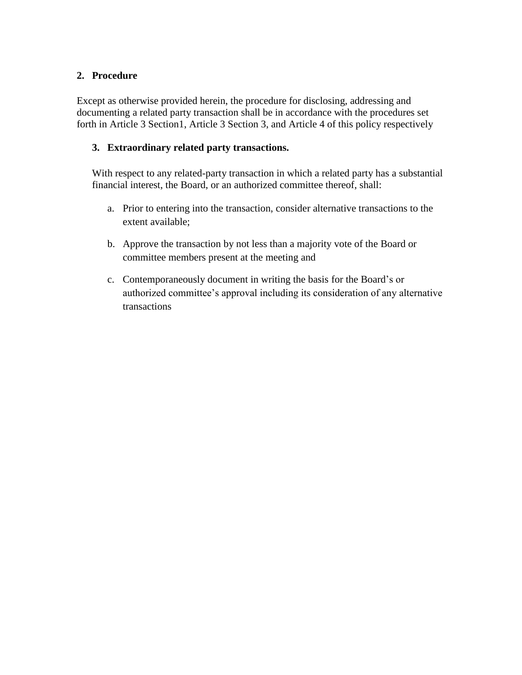# **2. Procedure**

Except as otherwise provided herein, the procedure for disclosing, addressing and documenting a related party transaction shall be in accordance with the procedures set forth in Article 3 Section1, Article 3 Section 3, and Article 4 of this policy respectively

#### **3. Extraordinary related party transactions.**

With respect to any related-party transaction in which a related party has a substantial financial interest, the Board, or an authorized committee thereof, shall:

- a. Prior to entering into the transaction, consider alternative transactions to the extent available;
- b. Approve the transaction by not less than a majority vote of the Board or committee members present at the meeting and
- c. Contemporaneously document in writing the basis for the Board's or authorized committee's approval including its consideration of any alternative transactions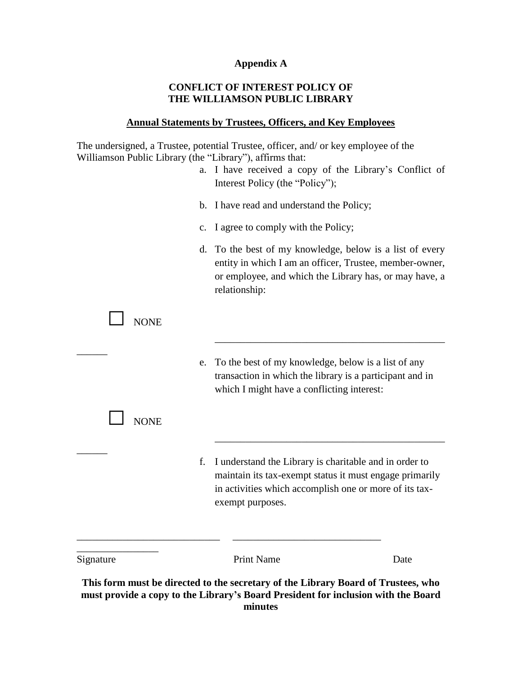#### **Appendix A**

#### **CONFLICT OF INTEREST POLICY OF THE WILLIAMSON PUBLIC LIBRARY**

#### **Annual Statements by Trustees, Officers, and Key Employees**

The undersigned, a Trustee, potential Trustee, officer, and/ or key employee of the Williamson Public Library (the "Library"), affirms that:

| Signature   |                | <b>Print Name</b>                                                                                                                                                                               | Date |
|-------------|----------------|-------------------------------------------------------------------------------------------------------------------------------------------------------------------------------------------------|------|
|             | f.             | I understand the Library is charitable and in order to<br>maintain its tax-exempt status it must engage primarily<br>in activities which accomplish one or more of its tax-<br>exempt purposes. |      |
| <b>NONE</b> |                |                                                                                                                                                                                                 |      |
|             | e.             | To the best of my knowledge, below is a list of any<br>transaction in which the library is a participant and in<br>which I might have a conflicting interest:                                   |      |
| <b>NONE</b> |                |                                                                                                                                                                                                 |      |
|             | d.             | To the best of my knowledge, below is a list of every<br>entity in which I am an officer, Trustee, member-owner,<br>or employee, and which the Library has, or may have, a<br>relationship:     |      |
|             | $\mathbf{c}$ . | I agree to comply with the Policy;                                                                                                                                                              |      |
|             |                | b. I have read and understand the Policy;                                                                                                                                                       |      |
|             | a.             | I have received a copy of the Library's Conflict of<br>Interest Policy (the "Policy");                                                                                                          |      |

**This form must be directed to the secretary of the Library Board of Trustees, who must provide a copy to the Library's Board President for inclusion with the Board minutes**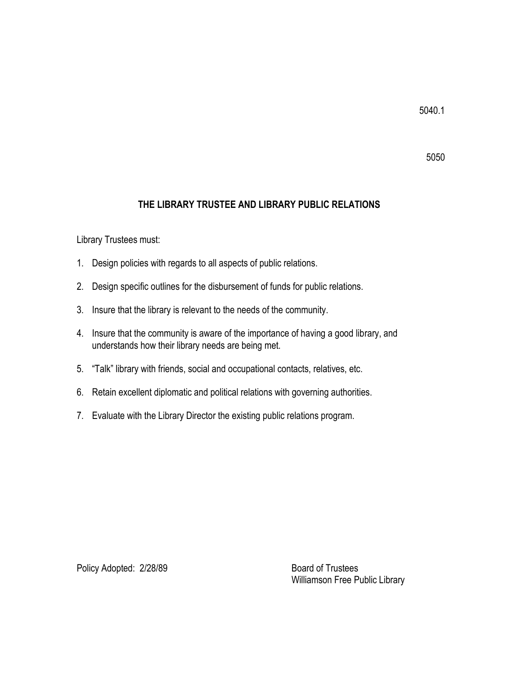#### 5050

#### **THE LIBRARY TRUSTEE AND LIBRARY PUBLIC RELATIONS**

Library Trustees must:

- 1. Design policies with regards to all aspects of public relations.
- 2. Design specific outlines for the disbursement of funds for public relations.
- 3. Insure that the library is relevant to the needs of the community.
- 4. Insure that the community is aware of the importance of having a good library, and understands how their library needs are being met.
- 5. "Talk" library with friends, social and occupational contacts, relatives, etc.
- 6. Retain excellent diplomatic and political relations with governing authorities.
- 7. Evaluate with the Library Director the existing public relations program.

Policy Adopted: 2/28/89 Board of Trustees

Williamson Free Public Library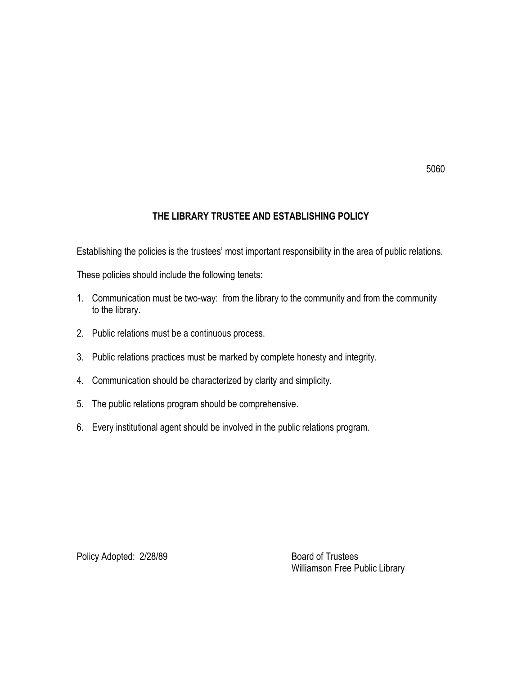# **THE LIBRARY TRUSTEE AND ESTABLISHING POLICY**

Establishing the policies is the trustees' most important responsibility in the area of public relations.

These policies should include the following tenets:

- 1. Communication must be two-way: from the library to the community and from the community to the library.
- 2. Public relations must be a continuous process.
- 3. Public relations practices must be marked by complete honesty and integrity.
- 4. Communication should be characterized by clarity and simplicity.
- 5. The public relations program should be comprehensive.
- 6. Every institutional agent should be involved in the public relations program.

Policy Adopted: 2/28/89 Board of Trustees

Williamson Free Public Library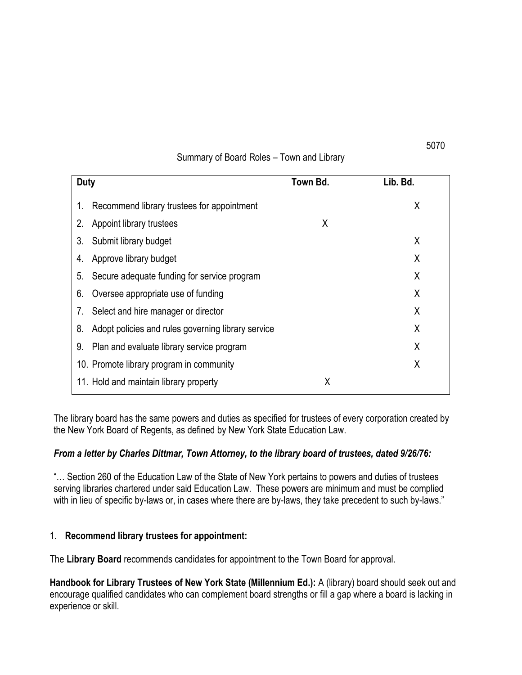#### Summary of Board Roles – Town and Library

| <b>Duty</b> |                                                    | Town Bd. | Lib. Bd. |
|-------------|----------------------------------------------------|----------|----------|
| 1.          | Recommend library trustees for appointment         |          | Χ        |
| 2.          | Appoint library trustees                           | X        |          |
| 3.          | Submit library budget                              |          | X        |
| 4.          | Approve library budget                             |          | Χ        |
| 5.          | Secure adequate funding for service program        | X        |          |
| 6.          | Oversee appropriate use of funding                 | X        |          |
| 7.          | Select and hire manager or director                | X        |          |
| 8.          | Adopt policies and rules governing library service | X        |          |
| 9.          | Plan and evaluate library service program          | X        |          |
|             | 10. Promote library program in community           |          | Χ        |
|             | 11. Hold and maintain library property             | Χ        |          |

The library board has the same powers and duties as specified for trustees of every corporation created by the New York Board of Regents, as defined by New York State Education Law.

#### *From a letter by Charles Dittmar, Town Attorney, to the library board of trustees, dated 9/26/76:*

"… Section 260 of the Education Law of the State of New York pertains to powers and duties of trustees serving libraries chartered under said Education Law. These powers are minimum and must be complied with in lieu of specific by-laws or, in cases where there are by-laws, they take precedent to such by-laws."

#### 1. **Recommend library trustees for appointment:**

The **Library Board** recommends candidates for appointment to the Town Board for approval.

**Handbook for Library Trustees of New York State (Millennium Ed.):** A (library) board should seek out and encourage qualified candidates who can complement board strengths or fill a gap where a board is lacking in experience or skill.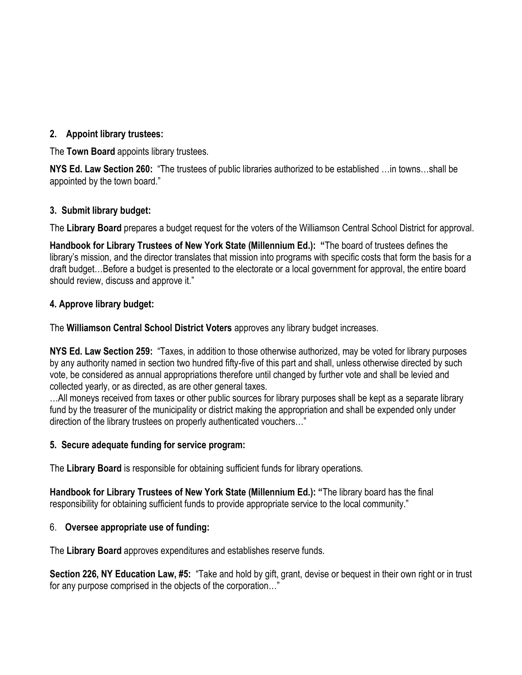# **2. Appoint library trustees:**

The **Town Board** appoints library trustees.

**NYS Ed. Law Section 260:** "The trustees of public libraries authorized to be established …in towns…shall be appointed by the town board."

#### **3. Submit library budget:**

The **Library Board** prepares a budget request for the voters of the Williamson Central School District for approval.

**Handbook for Library Trustees of New York State (Millennium Ed.): "**The board of trustees defines the library's mission, and the director translates that mission into programs with specific costs that form the basis for a draft budget…Before a budget is presented to the electorate or a local government for approval, the entire board should review, discuss and approve it."

# **4. Approve library budget:**

The **Williamson Central School District Voters** approves any library budget increases.

**NYS Ed. Law Section 259:** "Taxes, in addition to those otherwise authorized, may be voted for library purposes by any authority named in section two hundred fifty-five of this part and shall, unless otherwise directed by such vote, be considered as annual appropriations therefore until changed by further vote and shall be levied and collected yearly, or as directed, as are other general taxes.

…All moneys received from taxes or other public sources for library purposes shall be kept as a separate library fund by the treasurer of the municipality or district making the appropriation and shall be expended only under direction of the library trustees on properly authenticated vouchers…"

#### **5. Secure adequate funding for service program:**

The **Library Board** is responsible for obtaining sufficient funds for library operations.

**Handbook for Library Trustees of New York State (Millennium Ed.): "**The library board has the final responsibility for obtaining sufficient funds to provide appropriate service to the local community."

#### 6. **Oversee appropriate use of funding:**

The **Library Board** approves expenditures and establishes reserve funds.

**Section 226, NY Education Law, #5:** "Take and hold by gift, grant, devise or bequest in their own right or in trust for any purpose comprised in the objects of the corporation…"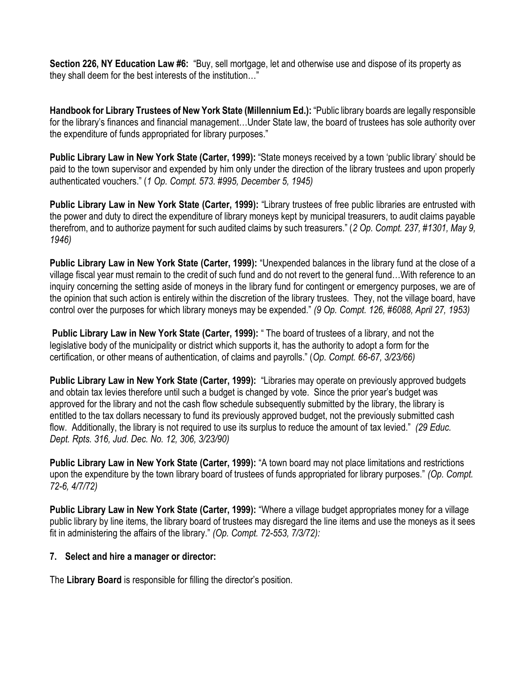**Section 226, NY Education Law #6:** "Buy, sell mortgage, let and otherwise use and dispose of its property as they shall deem for the best interests of the institution…"

**Handbook for Library Trustees of New York State (Millennium Ed.):** "Public library boards are legally responsible for the library's finances and financial management…Under State law, the board of trustees has sole authority over the expenditure of funds appropriated for library purposes."

**Public Library Law in New York State (Carter, 1999):** "State moneys received by a town 'public library' should be paid to the town supervisor and expended by him only under the direction of the library trustees and upon properly authenticated vouchers." (*1 Op. Compt. 573. #995, December 5, 1945)*

**Public Library Law in New York State (Carter, 1999):** "Library trustees of free public libraries are entrusted with the power and duty to direct the expenditure of library moneys kept by municipal treasurers, to audit claims payable therefrom, and to authorize payment for such audited claims by such treasurers." (*2 Op. Compt. 237, #1301, May 9, 1946)*

**Public Library Law in New York State (Carter, 1999):** "Unexpended balances in the library fund at the close of a village fiscal year must remain to the credit of such fund and do not revert to the general fund…With reference to an inquiry concerning the setting aside of moneys in the library fund for contingent or emergency purposes, we are of the opinion that such action is entirely within the discretion of the library trustees. They, not the village board, have control over the purposes for which library moneys may be expended." *(9 Op. Compt. 126, #6088, April 27, 1953)*

**Public Library Law in New York State (Carter, 1999):** " The board of trustees of a library, and not the legislative body of the municipality or district which supports it, has the authority to adopt a form for the certification, or other means of authentication, of claims and payrolls." (*Op. Compt. 66-67, 3/23/66)*

**Public Library Law in New York State (Carter, 1999):** "Libraries may operate on previously approved budgets and obtain tax levies therefore until such a budget is changed by vote. Since the prior year's budget was approved for the library and not the cash flow schedule subsequently submitted by the library, the library is entitled to the tax dollars necessary to fund its previously approved budget, not the previously submitted cash flow. Additionally, the library is not required to use its surplus to reduce the amount of tax levied." *(29 Educ. Dept. Rpts. 316, Jud. Dec. No. 12, 306, 3/23/90)*

**Public Library Law in New York State (Carter, 1999):** "A town board may not place limitations and restrictions upon the expenditure by the town library board of trustees of funds appropriated for library purposes." *(Op. Compt. 72-6, 4/7/72)*

**Public Library Law in New York State (Carter, 1999):** "Where a village budget appropriates money for a village public library by line items, the library board of trustees may disregard the line items and use the moneys as it sees fit in administering the affairs of the library." *(Op. Compt. 72-553, 7/3/72):*

#### **7. Select and hire a manager or director:**

The **Library Board** is responsible for filling the director's position.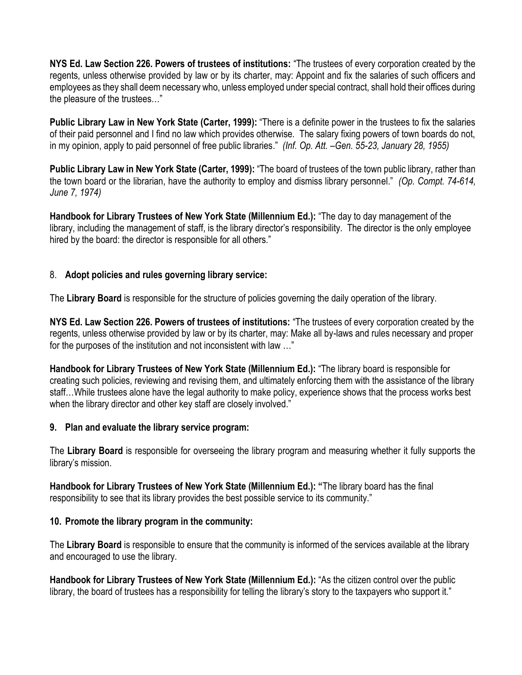**NYS Ed. Law Section 226. Powers of trustees of institutions:** "The trustees of every corporation created by the regents, unless otherwise provided by law or by its charter, may: Appoint and fix the salaries of such officers and employees as they shall deem necessary who, unless employed under special contract, shall hold their offices during the pleasure of the trustees…"

**Public Library Law in New York State (Carter, 1999):** "There is a definite power in the trustees to fix the salaries of their paid personnel and I find no law which provides otherwise. The salary fixing powers of town boards do not, in my opinion, apply to paid personnel of free public libraries." *(Inf. Op. Att. –Gen. 55-23, January 28, 1955)*

**Public Library Law in New York State (Carter, 1999):** "The board of trustees of the town public library, rather than the town board or the librarian, have the authority to employ and dismiss library personnel." *(Op. Compt. 74-614, June 7, 1974)*

**Handbook for Library Trustees of New York State (Millennium Ed.):** "The day to day management of the library, including the management of staff, is the library director's responsibility. The director is the only employee hired by the board: the director is responsible for all others."

# 8. **Adopt policies and rules governing library service:**

The **Library Board** is responsible for the structure of policies governing the daily operation of the library.

**NYS Ed. Law Section 226. Powers of trustees of institutions:** "The trustees of every corporation created by the regents, unless otherwise provided by law or by its charter, may: Make all by-laws and rules necessary and proper for the purposes of the institution and not inconsistent with law …"

**Handbook for Library Trustees of New York State (Millennium Ed.):** "The library board is responsible for creating such policies, reviewing and revising them, and ultimately enforcing them with the assistance of the library staff…While trustees alone have the legal authority to make policy, experience shows that the process works best when the library director and other key staff are closely involved."

#### **9. Plan and evaluate the library service program:**

The **Library Board** is responsible for overseeing the library program and measuring whether it fully supports the library's mission.

**Handbook for Library Trustees of New York State (Millennium Ed.): "**The library board has the final responsibility to see that its library provides the best possible service to its community."

#### **10. Promote the library program in the community:**

The **Library Board** is responsible to ensure that the community is informed of the services available at the library and encouraged to use the library.

**Handbook for Library Trustees of New York State (Millennium Ed.):** "As the citizen control over the public library, the board of trustees has a responsibility for telling the library's story to the taxpayers who support it."